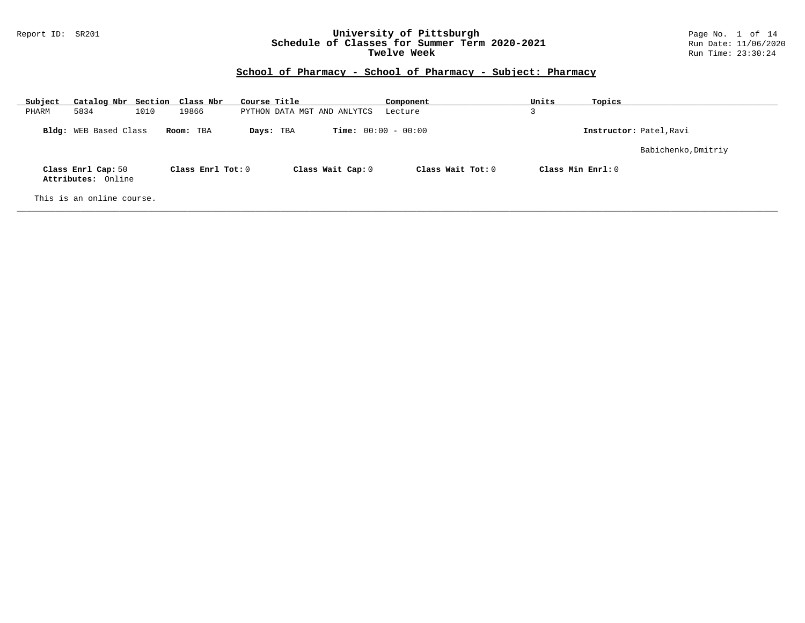#### Report ID: SR201 **University of Pittsburgh** Page No. 1 of 14 **Schedule of Classes for Summer Term 2020-2021** Run Date: 11/06/2020 **Twelve Week Run Time:** 23:30:24

| Subject | Catalog Nbr Section Class Nbr            |      |                   | Course Title |                                           | Component         | Units              | Topics                  |
|---------|------------------------------------------|------|-------------------|--------------|-------------------------------------------|-------------------|--------------------|-------------------------|
| PHARM   | 5834                                     | 1010 | 19866             |              | PYTHON DATA MGT AND ANLYTCS               | Lecture           | 3                  |                         |
|         | <b>Bldg:</b> WEB Based Class             |      | Room: TBA         |              | <b>Time:</b> $00:00 - 00:00$<br>Days: TBA |                   |                    | Instructor: Patel, Ravi |
|         |                                          |      |                   |              |                                           |                   |                    | Babichenko, Dmitriy     |
|         | Class Enrl Cap: 50<br>Attributes: Online |      | Class Enrl Tot: 0 |              | Class Wait Cap: 0                         | Class Wait Tot: 0 | Class Min $Enr1:0$ |                         |
|         | This is an online course.                |      |                   |              |                                           |                   |                    |                         |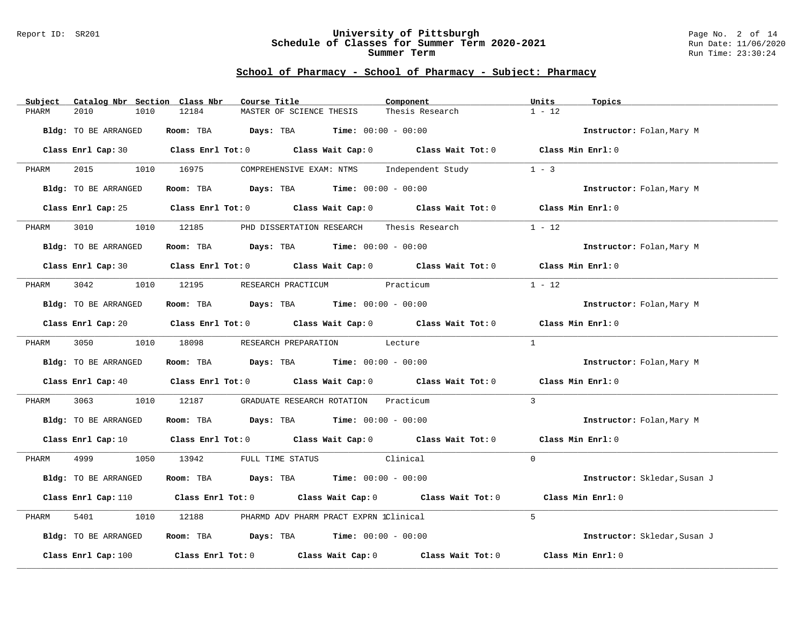#### Report ID: SR201 **University of Pittsburgh** Page No. 2 of 14 **Schedule of Classes for Summer Term 2020-2021** Run Date: 11/06/2020 **Summer Term** Run Time: 23:30:24

| Subject<br>Catalog Nbr Section Class Nbr | Course Title                                                                                                                   | Component       | Units<br>Topics              |
|------------------------------------------|--------------------------------------------------------------------------------------------------------------------------------|-----------------|------------------------------|
| 2010<br>1010<br>PHARM                    | 12184<br>MASTER OF SCIENCE THESIS                                                                                              | Thesis Research | $1 - 12$                     |
| Bldg: TO BE ARRANGED                     | Room: TBA $Days:$ TBA $Time: 00:00 - 00:00$                                                                                    |                 | Instructor: Folan, Mary M    |
|                                          | Class Enrl Cap: 30 Class Enrl Tot: 0 Class Wait Cap: 0 Class Wait Tot: 0 Class Min Enrl: 0                                     |                 |                              |
| 2015<br>PHARM                            | 1010 16975<br>COMPREHENSIVE EXAM: NTMS Independent Study                                                                       |                 | $1 - 3$                      |
| Bldg: TO BE ARRANGED                     | Room: TBA $Days:$ TBA $Time: 00:00 - 00:00$                                                                                    |                 | Instructor: Folan, Mary M    |
|                                          | Class Enrl Cap: 25 Class Enrl Tot: 0 Class Wait Cap: 0 Class Wait Tot: 0 Class Min Enrl: 0                                     |                 |                              |
| 3010<br>1010<br>PHARM                    | 12185<br>PHD DISSERTATION RESEARCH                                                                                             | Thesis Research | $1 - 12$                     |
| Bldg: TO BE ARRANGED                     | Room: TBA $Days:$ TBA $Time: 00:00 - 00:00$                                                                                    |                 | Instructor: Folan, Mary M    |
|                                          | Class Enrl Cap: 30 Class Enrl Tot: 0 Class Wait Cap: 0 Class Wait Tot: 0 Class Min Enrl: 0                                     |                 |                              |
| 3042<br>PHARM                            | 1010 12195<br>RESEARCH PRACTICUM Practicum                                                                                     |                 | $1 - 12$                     |
| Bldg: TO BE ARRANGED                     | Room: TBA $Days:$ TBA $Time: 00:00 - 00:00$                                                                                    |                 | Instructor: Folan, Mary M    |
|                                          | Class Enrl Cap: 20 Class Enrl Tot: 0 Class Wait Cap: 0 Class Wait Tot: 0 Class Min Enrl: 0                                     |                 |                              |
| PHARM                                    | 3050 1010 18098 RESEARCH PREPARATION Lecture                                                                                   |                 | $\mathbf{1}$                 |
| Bldg: TO BE ARRANGED                     | Room: TBA Days: TBA Time: $00:00 - 00:00$                                                                                      |                 | Instructor: Folan, Mary M    |
|                                          | Class Enrl Cap: 40 $\qquad$ Class Enrl Tot: 0 $\qquad$ Class Wait Cap: 0 $\qquad$ Class Wait Tot: 0 $\qquad$ Class Min Enrl: 0 |                 |                              |
| 3063<br>PHARM                            | 1010 12187 GRADUATE RESEARCH ROTATION                                                                                          | Practicum       | $\overline{3}$               |
| Bldg: TO BE ARRANGED                     | <b>Room:</b> TBA $Days: TBA$ <b>Time:</b> $00:00 - 00:00$                                                                      |                 | Instructor: Folan, Mary M    |
|                                          | Class Enrl Cap: 10 $\qquad$ Class Enrl Tot: 0 $\qquad$ Class Wait Cap: 0 $\qquad$ Class Wait Tot: 0 $\qquad$ Class Min Enrl: 0 |                 |                              |
| 4999 700<br>PHARM                        | 1050 13942 FULL TIME STATUS Clinical                                                                                           |                 | $\Omega$                     |
| Bldg: TO BE ARRANGED                     | Room: TBA $Days:$ TBA $Time: 00:00 - 00:00$                                                                                    |                 | Instructor: Skledar, Susan J |
|                                          | Class Enrl Cap: 110 Class Enrl Tot: 0 Class Wait Cap: 0 Class Wait Tot: 0                                                      |                 | Class Min Enrl: 0            |
| 5401<br>1010<br>PHARM                    | 12188<br>PHARMD ADV PHARM PRACT EXPRN 1Clinical                                                                                |                 | $5^{\circ}$                  |
| Bldg: TO BE ARRANGED                     | Room: TBA $Days:$ TBA $Time: 00:00 - 00:00$                                                                                    |                 | Instructor: Skledar, Susan J |
| Class Enrl Cap: 100                      | Class Enrl Tot: $0$ Class Wait Cap: $0$ Class Wait Tot: $0$                                                                    |                 | Class Min Enrl: 0            |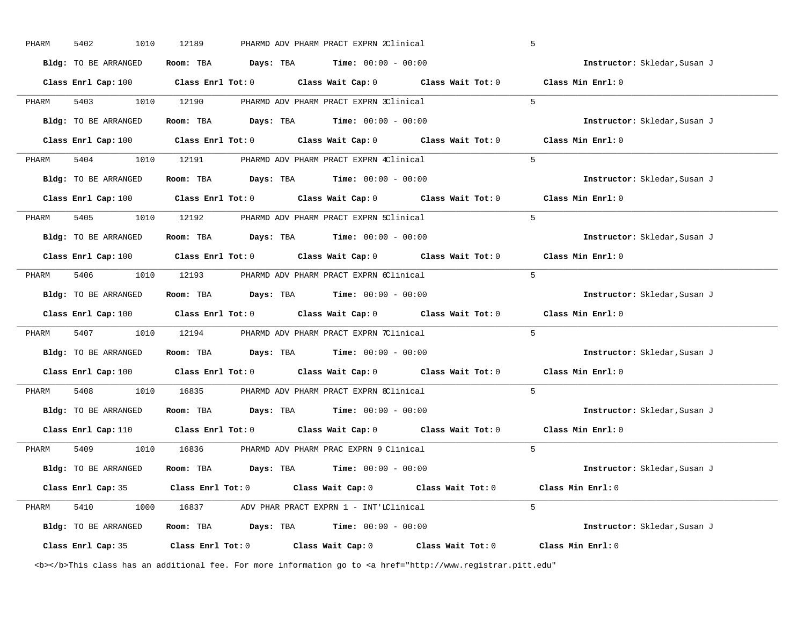| PHARM | 5402<br>1010         | 12189                                   | PHARMD ADV PHARM PRACT EXPRN 2Clinical                                                               | 5                            |
|-------|----------------------|-----------------------------------------|------------------------------------------------------------------------------------------------------|------------------------------|
|       | Bldg: TO BE ARRANGED | Room: TBA                               | <b>Days:</b> TBA <b>Time:</b> $00:00 - 00:00$                                                        | Instructor: Skledar, Susan J |
|       |                      |                                         | Class Enrl Cap: 100 $\qquad$ Class Enrl Tot: 0 $\qquad$ Class Wait Cap: 0 $\qquad$ Class Wait Tot: 0 | Class Min Enrl: 0            |
| PHARM | 1010<br>5403         | 12190                                   | PHARMD ADV PHARM PRACT EXPRN 3Clinical                                                               | 5                            |
|       | Bldg: TO BE ARRANGED | Room: TBA Days: TBA                     | <b>Time:</b> $00:00 - 00:00$                                                                         | Instructor: Skledar, Susan J |
|       | Class Enrl Cap: 100  | Class Enrl Tot: $0$                     | Class Wait Cap: 0 Class Wait Tot: 0                                                                  | Class Min Enrl: 0            |
| PHARM | 5404 1010            |                                         | 12191 PHARMD ADV PHARM PRACT EXPRN 4Clinical                                                         | $5^{\circ}$                  |
|       | Bldg: TO BE ARRANGED |                                         | Room: TBA $Days: TBA$ Time: $00:00 - 00:00$                                                          | Instructor: Skledar, Susan J |
|       |                      | Class Enrl Cap: $100$ Class Enrl Tot: 0 | Class Wait Cap: 0 Class Wait Tot: 0                                                                  | Class Min Enrl: 0            |
| PHARM | 5405<br>1010         | 12192                                   | PHARMD ADV PHARM PRACT EXPRN 5Clinical                                                               | $5^{\circ}$                  |
|       | Bldg: TO BE ARRANGED |                                         | Room: TBA $Days:$ TBA $Time: 00:00 - 00:00$                                                          | Instructor: Skledar, Susan J |
|       |                      |                                         | Class Enrl Cap: 100 Class Enrl Tot: 0 Class Wait Cap: 0 Class Wait Tot: 0                            | Class Min Enrl: 0            |
| PHARM | 5406<br>1010         | 12193                                   | PHARMD ADV PHARM PRACT EXPRN 6Clinical                                                               | 5                            |
|       | Bldg: TO BE ARRANGED | Room: TBA                               | <b>Days:</b> TBA <b>Time:</b> $00:00 - 00:00$                                                        | Instructor: Skledar, Susan J |
|       | Class Enrl Cap: 100  |                                         | Class Enrl Tot: $0$ Class Wait Cap: $0$ Class Wait Tot: $0$                                          | Class Min Enrl: 0            |
| PHARM | 5407<br>1010         | 12194                                   | PHARMD ADV PHARM PRACT EXPRN 7Clinical                                                               | 5                            |
|       | Bldg: TO BE ARRANGED |                                         | <b>Room:</b> TBA $\qquad \qquad$ <b>Days:</b> TBA $\qquad \qquad$ <b>Time:</b> $00:00 - 00:00$       | Instructor: Skledar, Susan J |
|       |                      |                                         | Class Enrl Cap: 100 $\qquad$ Class Enrl Tot: 0 $\qquad$ Class Wait Cap: 0 $\qquad$ Class Wait Tot: 0 | Class Min Enrl: 0            |
| PHARM | 5408<br>1010         | 16835                                   | PHARMD ADV PHARM PRACT EXPRN 8Clinical                                                               | $5^{\circ}$                  |
|       | Bldg: TO BE ARRANGED |                                         | <b>Room:</b> TBA $\qquad \qquad$ <b>Days:</b> TBA $\qquad \qquad$ <b>Time:</b> $00:00 - 00:00$       | Instructor: Skledar, Susan J |
|       |                      |                                         | Class Enrl Cap: 110 $\qquad$ Class Enrl Tot: 0 $\qquad$ Class Wait Cap: 0 $\qquad$ Class Wait Tot: 0 | Class Min Enrl: 0            |
| PHARM | 5409                 |                                         | 1010 16836 PHARMD ADV PHARM PRAC EXPRN 9 Clinical                                                    | $5^{\circ}$                  |
|       | Bldg: TO BE ARRANGED |                                         | Room: TBA $Days: TBA$ Time: $00:00 - 00:00$                                                          | Instructor: Skledar, Susan J |
|       | Class Enrl Cap: 35   |                                         | Class Enrl Tot: 0 Class Wait Cap: 0 Class Wait Tot: 0                                                | Class Min Enrl: 0            |
| PHARM | 5410<br>1000         |                                         |                                                                                                      | $5^{\circ}$                  |
|       | Bldg: TO BE ARRANGED | Room: TBA Days: TBA                     | <b>Time:</b> $00:00 - 00:00$                                                                         | Instructor: Skledar, Susan J |
|       | Class Enrl Cap: 35   |                                         | Class Enrl Tot: $0$ Class Wait Cap: $0$ Class Wait Tot: $0$                                          | Class Min Enrl: 0            |

<b></b>This class has an additional fee. For more information go to <a href="http://www.registrar.pitt.edu"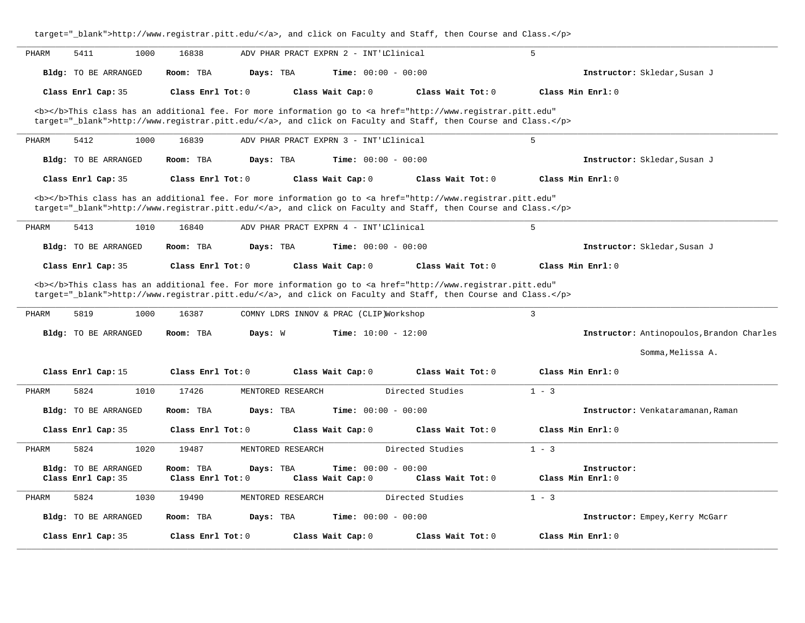|       | target="_blank">http://www.registrar.pitt.edu/, and click on Faculty and Staff, then Course and Class. |                                                                                                                                                                                                                                    |                                        |                                                   |                                  |                                           |  |
|-------|--------------------------------------------------------------------------------------------------------|------------------------------------------------------------------------------------------------------------------------------------------------------------------------------------------------------------------------------------|----------------------------------------|---------------------------------------------------|----------------------------------|-------------------------------------------|--|
| PHARM | 5411<br>1000                                                                                           | 16838                                                                                                                                                                                                                              | ADV PHAR PRACT EXPRN 2 - INT'LClinical |                                                   | 5                                |                                           |  |
|       | Bldg: TO BE ARRANGED                                                                                   | Room: TBA                                                                                                                                                                                                                          | Days: TBA                              | Time: $00:00 - 00:00$                             |                                  | Instructor: Skledar, Susan J              |  |
|       | Class Enrl Cap: 35                                                                                     | Class Enrl Tot: 0                                                                                                                                                                                                                  | Class Wait Cap: 0                      | Class Wait $Tot: 0$                               | Class Min Enrl: 0                |                                           |  |
|       |                                                                                                        | <b></b> This class has an additional fee. For more information go to <a <br="" href="http://www.registrar.pitt.edu">target="_blank"&gt;http://www.registrar.pitt.edu/</a> , and click on Faculty and Staff, then Course and Class. |                                        |                                                   |                                  |                                           |  |
| PHARM | 5412<br>1000                                                                                           | 16839                                                                                                                                                                                                                              | ADV PHAR PRACT EXPRN 3 - INT'IClinical |                                                   | 5                                |                                           |  |
|       | <b>Bldg:</b> TO BE ARRANGED                                                                            | Room: TBA                                                                                                                                                                                                                          | Days: TBA                              | <b>Time:</b> $00:00 - 00:00$                      |                                  | Instructor: Skledar, Susan J              |  |
|       | Class Enrl Cap: 35                                                                                     | Class Enrl Tot: 0                                                                                                                                                                                                                  | Class Wait Cap: 0                      | Class Wait Tot: 0                                 | Class Min Enrl: 0                |                                           |  |
|       |                                                                                                        | <b></b> This class has an additional fee. For more information go to <a <br="" href="http://www.registrar.pitt.edu">target="_blank"&gt;http://www.registrar.pitt.edu/</a> , and click on Faculty and Staff, then Course and Class. |                                        |                                                   |                                  |                                           |  |
| PHARM | 5413<br>1010                                                                                           | 16840                                                                                                                                                                                                                              | ADV PHAR PRACT EXPRN 4 - INT'IClinical |                                                   | 5                                |                                           |  |
|       | Bldg: TO BE ARRANGED                                                                                   | Room: TBA                                                                                                                                                                                                                          | Days: TBA                              | <b>Time:</b> $00:00 - 00:00$                      |                                  | Instructor: Skledar, Susan J              |  |
|       | Class Enrl Cap: 35                                                                                     | Class Enrl Tot: 0                                                                                                                                                                                                                  | Class Wait Cap: 0                      | Class Wait Tot: 0                                 | Class Min Enrl: 0                |                                           |  |
|       |                                                                                                        | <b></b> This class has an additional fee. For more information go to <a <br="" href="http://www.registrar.pitt.edu">target="_blank"&gt;http://www.registrar.pitt.edu/</a> , and click on Faculty and Staff, then Course and Class. |                                        |                                                   |                                  |                                           |  |
| PHARM | 5819<br>1000                                                                                           | 16387                                                                                                                                                                                                                              | COMNY LDRS INNOV & PRAC (CLIP)Workshop |                                                   | $\overline{3}$                   |                                           |  |
|       | Bldg: TO BE ARRANGED                                                                                   | Room: TBA<br>Days: W                                                                                                                                                                                                               |                                        | <b>Time:</b> $10:00 - 12:00$                      |                                  | Instructor: Antinopoulos, Brandon Charles |  |
|       |                                                                                                        |                                                                                                                                                                                                                                    |                                        |                                                   |                                  | Somma, Melissa A.                         |  |
|       | Class Enrl Cap: 15                                                                                     | Class Enrl Tot: 0                                                                                                                                                                                                                  | Class Wait Cap: 0                      | Class Wait Tot: 0                                 | Class Min Enrl: 0                |                                           |  |
| PHARM | 5824<br>1010                                                                                           | 17426                                                                                                                                                                                                                              | MENTORED RESEARCH                      | Directed Studies                                  | $1 - 3$                          |                                           |  |
|       | Bldg: TO BE ARRANGED                                                                                   | Room: TBA                                                                                                                                                                                                                          | Days: TBA                              | Time: $00:00 - 00:00$                             |                                  | Instructor: Venkataramanan, Raman         |  |
|       | Class Enrl Cap: 35                                                                                     | Class Enrl Tot: 0                                                                                                                                                                                                                  | Class Wait Cap: 0                      | Class Wait Tot: 0                                 | Class Min Enrl: 0                |                                           |  |
| PHARM | 5824<br>1020                                                                                           | 19487                                                                                                                                                                                                                              | MENTORED RESEARCH                      | Directed Studies                                  | $1 - 3$                          |                                           |  |
|       | Bldg: TO BE ARRANGED<br>Class Enrl Cap: 35                                                             | Room: TBA<br>Class Enrl Tot: 0                                                                                                                                                                                                     | Days: TBA<br>Class Wait Cap: 0         | <b>Time:</b> $00:00 - 00:00$<br>Class Wait Tot: 0 | Instructor:<br>Class Min Enrl: 0 |                                           |  |
| PHARM | 5824<br>1030                                                                                           | 19490                                                                                                                                                                                                                              | MENTORED RESEARCH                      | Directed Studies                                  | $1 - 3$                          |                                           |  |
|       | Bldg: TO BE ARRANGED                                                                                   | Room: TBA                                                                                                                                                                                                                          | Days: TBA                              | Time: $00:00 - 00:00$                             |                                  | Instructor: Empey, Kerry McGarr           |  |
|       | Class Enrl Cap: 35                                                                                     | Class Enrl Tot: 0                                                                                                                                                                                                                  | Class Wait Cap: 0                      | Class Wait Tot: 0                                 | Class Min Enrl: 0                |                                           |  |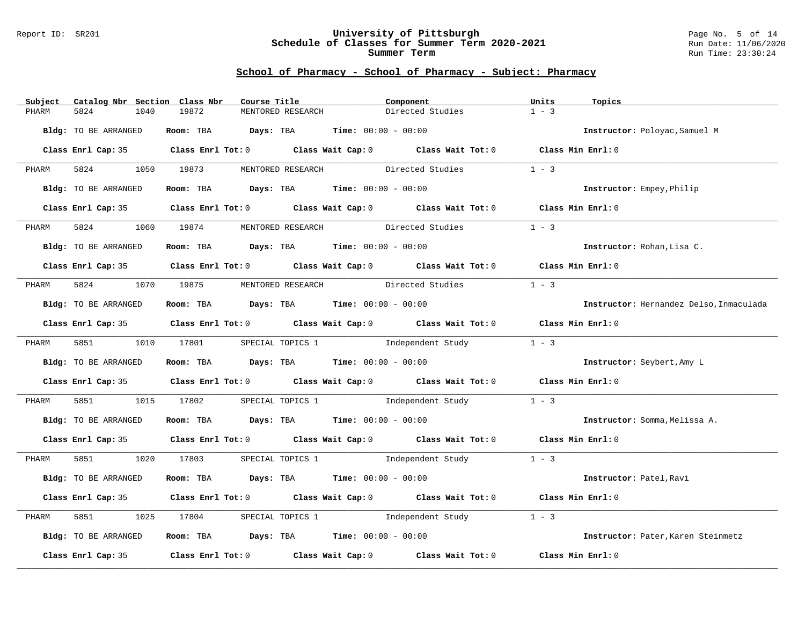#### Report ID: SR201 **University of Pittsburgh** Page No. 5 of 14 **Schedule of Classes for Summer Term 2020-2021** Run Date: 11/06/2020 **Summer Term** Run Time: 23:30:24

| Subject              | Catalog Nbr Section Class Nbr | Course Title |                                                                | Component                                                                                  | Units             | Topics                                  |
|----------------------|-------------------------------|--------------|----------------------------------------------------------------|--------------------------------------------------------------------------------------------|-------------------|-----------------------------------------|
| PHARM<br>5824        | 1040                          | 19872        | MENTORED RESEARCH                                              | Directed Studies                                                                           | $1 - 3$           |                                         |
| Bldg: TO BE ARRANGED |                               |              | Room: TBA $Days:$ TBA $Time: 00:00 - 00:00$                    |                                                                                            |                   | Instructor: Poloyac, Samuel M           |
|                      |                               |              |                                                                |                                                                                            |                   |                                         |
|                      |                               |              |                                                                | Class Enrl Cap: 35 Class Enrl Tot: 0 Class Wait Cap: 0 Class Wait Tot: 0 Class Min Enrl: 0 |                   |                                         |
| 5824<br>PHARM        | 1050 19873                    |              |                                                                | MENTORED RESEARCH Directed Studies 1 - 3                                                   |                   |                                         |
| Bldg: TO BE ARRANGED |                               |              | Room: TBA $Days:$ TBA $Time: 00:00 - 00:00$                    |                                                                                            |                   | Instructor: Empey, Philip               |
|                      |                               |              |                                                                | Class Enrl Cap: 35 Class Enrl Tot: 0 Class Wait Cap: 0 Class Wait Tot: 0 Class Min Enrl: 0 |                   |                                         |
| 5824<br>PHARM        | 1060                          | 19874        |                                                                | MENTORED RESEARCH Directed Studies                                                         | $1 - 3$           |                                         |
| Bldg: TO BE ARRANGED |                               |              | Room: TBA $Days:$ TBA $Time: 00:00 - 00:00$                    |                                                                                            |                   | Instructor: Rohan, Lisa C.              |
|                      |                               |              |                                                                | Class Enrl Cap: 35 Class Enrl Tot: 0 Class Wait Cap: 0 Class Wait Tot: 0 Class Min Enrl: 0 |                   |                                         |
|                      |                               |              |                                                                |                                                                                            |                   |                                         |
| PHARM                |                               |              |                                                                | 5824 1070 19875 MENTORED RESEARCH Directed Studies                                         | $1 - 3$           |                                         |
| Bldg: TO BE ARRANGED |                               |              | Room: TBA $Days:$ TBA $Time: 00:00 - 00:00$                    |                                                                                            |                   | Instructor: Hernandez Delso, Inmaculada |
|                      |                               |              |                                                                | Class Enrl Cap: 35 Class Enrl Tot: 0 Class Wait Cap: 0 Class Wait Tot: 0 Class Min Enrl: 0 |                   |                                         |
| 5851 200<br>PHARM    | 1010 17801                    |              | SPECIAL TOPICS 1                                               | Independent Study                                                                          | $1 - 3$           |                                         |
| Bldg: TO BE ARRANGED |                               |              | Room: TBA $Days:$ TBA $Time: 00:00 - 00:00$                    |                                                                                            |                   | Instructor: Seybert, Amy L              |
|                      |                               |              |                                                                | Class Enrl Cap: 35 Class Enrl Tot: 0 Class Wait Cap: 0 Class Wait Tot: 0 Class Min Enrl: 0 |                   |                                         |
| 5851 38<br>PHARM     |                               |              |                                                                | 1015 17802 SPECIAL TOPICS 1 1ndependent Study                                              | $1 - 3$           |                                         |
| Bldg: TO BE ARRANGED |                               |              | Room: TBA $Days:$ TBA Time: $00:00 - 00:00$                    |                                                                                            |                   | Instructor: Somma, Melissa A.           |
|                      |                               |              |                                                                | Class Enrl Cap: 35 Class Enrl Tot: 0 Class Wait Cap: 0 Class Wait Tot: 0 Class Min Enrl: 0 |                   |                                         |
| PHARM                |                               |              |                                                                | 5851 1020 17803 SPECIAL TOPICS 1 1 Independent Study 1 - 3                                 |                   |                                         |
| Bldg: TO BE ARRANGED |                               |              | Room: TBA $Days: TBA$ Time: $00:00 - 00:00$                    |                                                                                            |                   | Instructor: Patel, Ravi                 |
|                      |                               |              |                                                                | Class Enrl Cap: 35 Class Enrl Tot: 0 Class Wait Cap: 0 Class Wait Tot: 0 Class Min Enrl: 0 |                   |                                         |
| 5851<br>PHARM        | 1025                          | 17804        |                                                                | SPECIAL TOPICS 1 1 Independent Study                                                       | $1 - 3$           |                                         |
| Bldg: TO BE ARRANGED |                               |              | Room: TBA $\rule{1em}{0.15mm}$ Days: TBA Time: $00:00 - 00:00$ |                                                                                            |                   | Instructor: Pater, Karen Steinmetz      |
|                      |                               |              |                                                                | Class Enrl Cap: 35 Class Enrl Tot: 0 Class Wait Cap: 0 Class Wait Tot: 0                   | Class Min Enrl: 0 |                                         |
|                      |                               |              |                                                                |                                                                                            |                   |                                         |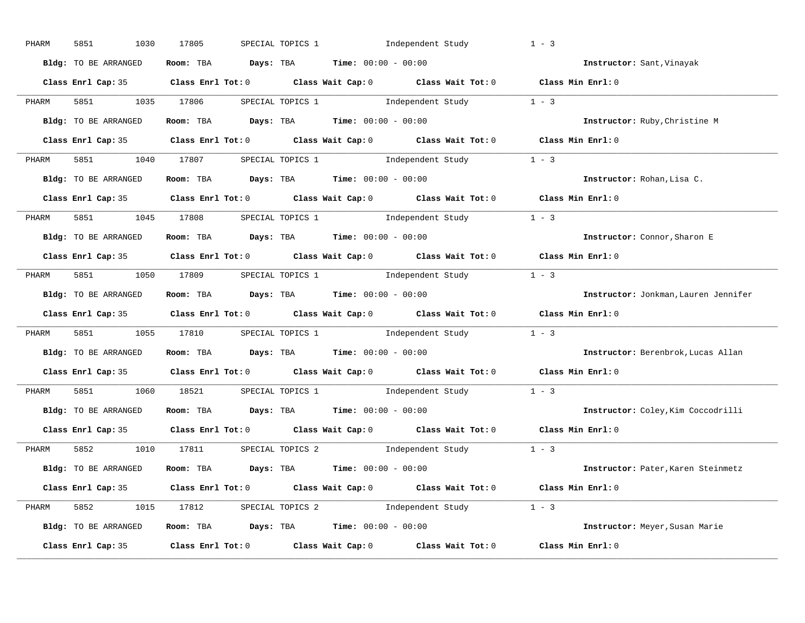| PHARM | 5851<br>1030         | 17805 | SPECIAL TOPICS 1 1 Independent Study                                                                | $1 - 3$                              |
|-------|----------------------|-------|-----------------------------------------------------------------------------------------------------|--------------------------------------|
|       | Bldg: TO BE ARRANGED |       | Room: TBA $Days:$ TBA $Time: 00:00 - 00:00$                                                         | Instructor: Sant, Vinayak            |
|       |                      |       | Class Enrl Cap: 35 Class Enrl Tot: 0 Class Wait Cap: 0 Class Wait Tot: 0 Class Min Enrl: 0          |                                      |
| PHARM | 5851 1035 17806      |       | SPECIAL TOPICS 1 1 - 3 Independent Study 1 - 3                                                      |                                      |
|       | Bldg: TO BE ARRANGED |       | Room: TBA $Days:$ TBA Time: $00:00 - 00:00$                                                         | Instructor: Ruby, Christine M        |
|       |                      |       | Class Enrl Cap: 35 Class Enrl Tot: 0 Class Wait Cap: 0 Class Wait Tot: 0 Class Min Enrl: 0          |                                      |
|       |                      |       | PHARM 5851 1040 17807 SPECIAL TOPICS 1 Independent Study 1 - 3                                      |                                      |
|       | Bldg: TO BE ARRANGED |       | Room: TBA $Days:$ TBA $Time: 00:00 - 00:00$                                                         | Instructor: Rohan, Lisa C.           |
|       |                      |       | Class Enrl Cap: 35 Class Enrl Tot: 0 Class Wait Cap: 0 Class Wait Tot: 0 Class Min Enrl: 0          |                                      |
| PHARM |                      |       | 5851 1045 17808 SPECIAL TOPICS 1 1 1 Independent Study 1 - 3                                        |                                      |
|       | Bldg: TO BE ARRANGED |       | Room: TBA $Days:$ TBA $Time: 00:00 - 00:00$                                                         | Instructor: Connor, Sharon E         |
|       |                      |       | Class Enrl Cap: 35 Class Enrl Tot: 0 Class Wait Cap: 0 Class Wait Tot: 0 Class Min Enrl: 0          |                                      |
| PHARM |                      |       | 5851 1050 17809 SPECIAL TOPICS 1 1ndependent Study 1 - 3                                            |                                      |
|       | Bldg: TO BE ARRANGED |       | Room: TBA $Days:$ TBA $Time: 00:00 - 00:00$                                                         | Instructor: Jonkman, Lauren Jennifer |
|       |                      |       | Class Enrl Cap: 35 Class Enrl Tot: 0 Class Wait Cap: 0 Class Wait Tot: 0 Class Min Enrl: 0          |                                      |
| PHARM |                      |       | 5851 1055 17810 SPECIAL TOPICS 1 1ndependent Study 1 - 3                                            |                                      |
|       | Bldg: TO BE ARRANGED |       | Room: TBA $Days:$ TBA $Time: 00:00 - 00:00$                                                         | Instructor: Berenbrok, Lucas Allan   |
|       |                      |       | Class Enrl Cap: 35 $\qquad$ Class Enrl Tot: 0 $\qquad$ Class Wait Cap: 0 $\qquad$ Class Wait Tot: 0 | Class Min Enrl: 0                    |
| PHARM |                      |       | 5851 1060 18521 SPECIAL TOPICS 1 Independent Study                                                  | $1 - 3$                              |
|       | Bldg: TO BE ARRANGED |       | Room: TBA $Days: TBA$ Time: $00:00 - 00:00$                                                         | Instructor: Coley, Kim Coccodrilli   |
|       | Class Enrl Cap: 35   |       | Class Enrl Tot: $0$ Class Wait Cap: $0$ Class Wait Tot: $0$                                         | Class Min Enrl: 0                    |
| PHARM |                      |       | 5852 1010 17811 SPECIAL TOPICS 2 Independent Study 1 - 3                                            |                                      |
|       | Bldg: TO BE ARRANGED |       | Room: TBA $\rule{1em}{0.15mm}$ Days: TBA $\rule{1.15mm}]{0.15mm}$ Time: $0.000 - 0.000$             | Instructor: Pater, Karen Steinmetz   |
|       |                      |       | Class Enrl Cap: 35 Class Enrl Tot: 0 Class Wait Cap: 0 Class Wait Tot: 0 Class Min Enrl: 0          |                                      |
|       |                      |       | PHARM 5852 1015 17812 SPECIAL TOPICS 2 Independent Study 1 - 3                                      |                                      |
|       | Bldg: TO BE ARRANGED |       | Room: TBA $\rule{1em}{0.15mm}$ Days: TBA $\rule{1.15mm}]{0.15mm}$ Time: $0.000 - 0.000$             | Instructor: Meyer, Susan Marie       |
|       |                      |       |                                                                                                     |                                      |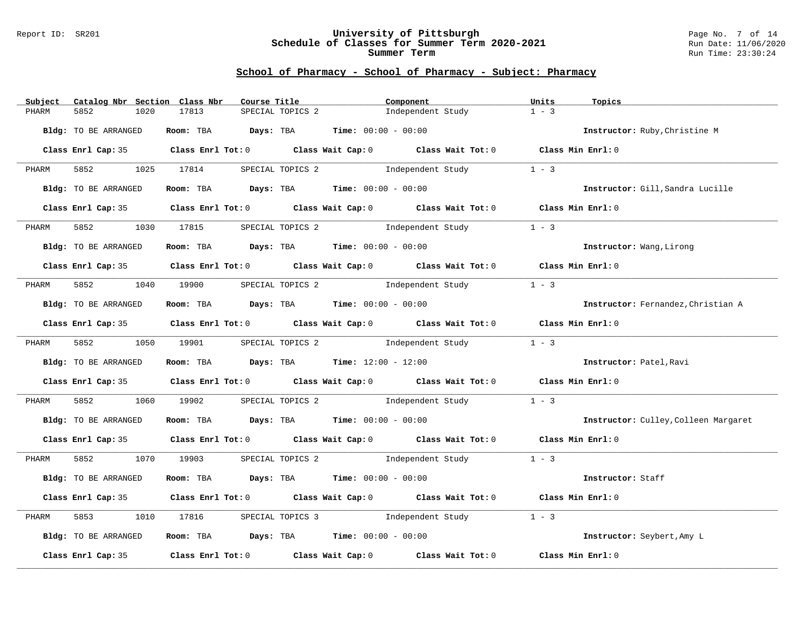#### Report ID: SR201 **University of Pittsburgh** Page No. 7 of 14 **Schedule of Classes for Summer Term 2020-2021** Run Date: 11/06/2020 **Summer Term** Run Time: 23:30:24

| Subject | Catalog Nbr Section Class Nbr | Course Title                                                                               |                  | Component |                                                | Units             | Topics                               |
|---------|-------------------------------|--------------------------------------------------------------------------------------------|------------------|-----------|------------------------------------------------|-------------------|--------------------------------------|
| PHARM   | 5852<br>1020                  | 17813                                                                                      | SPECIAL TOPICS 2 |           | Independent Study                              | $1 - 3$           |                                      |
|         | Bldg: TO BE ARRANGED          | Room: TBA $Days:$ TBA $Time: 00:00 - 00:00$                                                |                  |           |                                                |                   | Instructor: Ruby, Christine M        |
|         |                               | Class Enrl Cap: 35 Class Enrl Tot: 0 Class Wait Cap: 0 Class Wait Tot: 0 Class Min Enrl: 0 |                  |           |                                                |                   |                                      |
| PHARM   | 5852 1025 17814               |                                                                                            |                  |           | SPECIAL TOPICS 2 1 and independent Study 1 - 3 |                   |                                      |
|         | Bldg: TO BE ARRANGED          | Room: TBA $Days:$ TBA $Time: 00:00 - 00:00$                                                |                  |           |                                                |                   | Instructor: Gill, Sandra Lucille     |
|         |                               | Class Enrl Cap: 35 Class Enrl Tot: 0 Class Wait Cap: 0 Class Wait Tot: 0 Class Min Enrl: 0 |                  |           |                                                |                   |                                      |
| PHARM   | 5852                          | 1030 17815                                                                                 |                  |           | SPECIAL TOPICS 2 1ndependent Study             | $1 - 3$           |                                      |
|         | Bldg: TO BE ARRANGED          | Room: TBA $Days:$ TBA $Time: 00:00 - 00:00$                                                |                  |           |                                                |                   | Instructor: Wang, Lirong             |
|         |                               | Class Enrl Cap: 35 Class Enrl Tot: 0 Class Wait Cap: 0 Class Wait Tot: 0 Class Min Enrl: 0 |                  |           |                                                |                   |                                      |
| PHARM   |                               | 5852 1040 19900 SPECIAL TOPICS 2                                                           |                  |           | Independent Study                              | $1 - 3$           |                                      |
|         | Bldg: TO BE ARRANGED          | Room: TBA $Days:$ TBA $Time: 00:00 - 00:00$                                                |                  |           |                                                |                   | Instructor: Fernandez, Christian A   |
|         |                               | Class Enrl Cap: 35 Class Enrl Tot: 0 Class Wait Cap: 0 Class Wait Tot: 0 Class Min Enrl: 0 |                  |           |                                                |                   |                                      |
| PHARM   |                               | 5852 1050 19901 SPECIAL TOPICS 2                                                           |                  |           | Independent Study                              | $1 - 3$           |                                      |
|         | Bldg: TO BE ARRANGED          | Room: TBA $Days:$ TBA Time: $12:00 - 12:00$                                                |                  |           |                                                |                   | Instructor: Patel, Ravi              |
|         |                               | Class Enrl Cap: 35 Class Enrl Tot: 0 Class Wait Cap: 0 Class Wait Tot: 0 Class Min Enrl: 0 |                  |           |                                                |                   |                                      |
| PHARM   |                               | 5852 1060 19902 SPECIAL TOPICS 2 Independent Study                                         |                  |           |                                                | $1 - 3$           |                                      |
|         | Bldg: TO BE ARRANGED          | Room: TBA $Days:$ TBA $Time: 00:00 - 00:00$                                                |                  |           |                                                |                   | Instructor: Culley, Colleen Margaret |
|         |                               | Class Enrl Cap: 35 Class Enrl Tot: 0 Class Wait Cap: 0 Class Wait Tot: 0 Class Min Enrl: 0 |                  |           |                                                |                   |                                      |
|         |                               | PHARM 5852 1070 19903 SPECIAL TOPICS 2 Independent Study 1 - 3                             |                  |           |                                                |                   |                                      |
|         | Bldg: TO BE ARRANGED          | Room: TBA $Days:$ TBA Time: $00:00 - 00:00$                                                |                  |           |                                                |                   | Instructor: Staff                    |
|         |                               | Class Enrl Cap: 35 Class Enrl Tot: 0 Class Wait Cap: 0 Class Wait Tot: 0 Class Min Enrl: 0 |                  |           |                                                |                   |                                      |
| PHARM   | 5853                          | 1010 17816 SPECIAL TOPICS 3 Independent Study                                              |                  |           |                                                | $1 - 3$           |                                      |
|         | Bldg: TO BE ARRANGED          | Room: TBA $Days:$ TBA Time: $00:00 - 00:00$                                                |                  |           |                                                |                   | Instructor: Seybert, Amy L           |
|         |                               | Class Enrl Cap: 35 Class Enrl Tot: 0 Class Wait Cap: 0 Class Wait Tot: 0                   |                  |           |                                                | Class Min Enrl: 0 |                                      |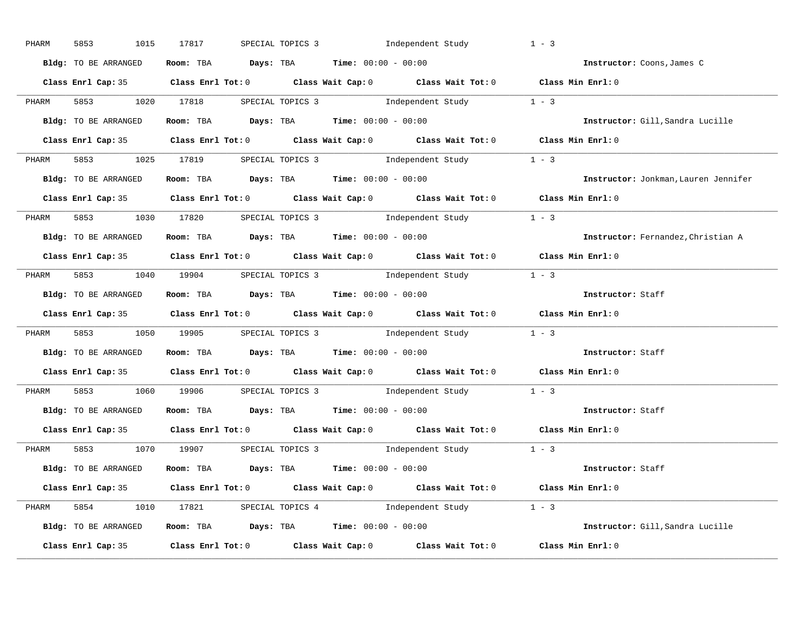| PHARM | 5853<br>1015         | 17817 | SPECIAL TOPICS 3 1ndependent Study                                                         | $1 - 3$                              |
|-------|----------------------|-------|--------------------------------------------------------------------------------------------|--------------------------------------|
|       | Bldg: TO BE ARRANGED |       | Room: TBA $Days:$ TBA $Time: 00:00 - 00:00$                                                | Instructor: Coons, James C           |
|       |                      |       | Class Enrl Cap: 35 Class Enrl Tot: 0 Class Wait Cap: 0 Class Wait Tot: 0 Class Min Enrl: 0 |                                      |
| PHARM |                      |       | 5853 1020 17818 SPECIAL TOPICS 3 Independent Study 1 - 3                                   |                                      |
|       | Bldg: TO BE ARRANGED |       | Room: TBA $Days:$ TBA $Time: 00:00 - 00:00$                                                | Instructor: Gill, Sandra Lucille     |
|       |                      |       | Class Enrl Cap: 35 Class Enrl Tot: 0 Class Wait Cap: 0 Class Wait Tot: 0 Class Min Enrl: 0 |                                      |
|       |                      |       | PHARM 5853 1025 17819 SPECIAL TOPICS 3 Independent Study 1 - 3                             |                                      |
|       | Bldg: TO BE ARRANGED |       | Room: TBA Days: TBA Time: $00:00 - 00:00$                                                  | Instructor: Jonkman, Lauren Jennifer |
|       |                      |       | Class Enrl Cap: 35 Class Enrl Tot: 0 Class Wait Cap: 0 Class Wait Tot: 0 Class Min Enrl: 0 |                                      |
|       |                      |       | PHARM 5853 1030 17820 SPECIAL TOPICS 3 Independent Study 1 - 3                             |                                      |
|       | Bldg: TO BE ARRANGED |       | Room: TBA $\rule{1em}{0.15mm}$ Days: TBA $\rule{1.15mm}]{0.15mm}$ Time: $00:00 - 00:00$    | Instructor: Fernandez, Christian A   |
|       |                      |       | Class Enrl Cap: 35 Class Enrl Tot: 0 Class Wait Cap: 0 Class Wait Tot: 0 Class Min Enrl: 0 |                                      |
|       |                      |       | PHARM 5853 1040 19904 SPECIAL TOPICS 3 Independent Study 1 - 3                             |                                      |
|       | Bldg: TO BE ARRANGED |       | Room: TBA $\rule{1em}{0.15mm}$ Days: TBA Time: $00:00 - 00:00$                             | Instructor: Staff                    |
|       |                      |       | Class Enrl Cap: 35 Class Enrl Tot: 0 Class Wait Cap: 0 Class Wait Tot: 0 Class Min Enrl: 0 |                                      |
| PHARM |                      |       | 5853 1050 19905 SPECIAL TOPICS 3 Independent Study 1 - 3                                   |                                      |
|       | Bldg: TO BE ARRANGED |       | Room: TBA $\rule{1em}{0.15mm}$ Days: TBA Time: $00:00 - 00:00$                             | Instructor: Staff                    |
|       |                      |       | Class Enrl Cap: 35 Class Enrl Tot: 0 Class Wait Cap: 0 Class Wait Tot: 0 Class Min Enrl: 0 |                                      |
| PHARM |                      |       | 5853 1060 19906 SPECIAL TOPICS 3 Independent Study 1 - 3                                   |                                      |
|       | Bldg: TO BE ARRANGED |       | Room: TBA $Days:$ TBA $Time:$ 00:00 - 00:00                                                | Instructor: Staff                    |
|       |                      |       | Class Enrl Cap: 35 Class Enrl Tot: 0 Class Wait Cap: 0 Class Wait Tot: 0 Class Min Enrl: 0 |                                      |
| PHARM |                      |       | 5853 1070 19907 SPECIAL TOPICS 3 Independent Study 1 - 3                                   |                                      |
|       | Bldg: TO BE ARRANGED |       | <b>Room:</b> TBA <b>Days:</b> TBA <b>Time:</b> 00:00 - 00:00                               | Instructor: Staff                    |
|       |                      |       | Class Enrl Cap: 35 Class Enrl Tot: 0 Class Wait Cap: 0 Class Wait Tot: 0 Class Min Enrl: 0 |                                      |
|       |                      |       | PHARM 5854 1010 17821 SPECIAL TOPICS 4 Independent Study 1 - 3                             |                                      |
|       |                      |       | Bldg: TO BE ARRANGED Room: TBA Days: TBA Time: 00:00 - 00:00                               | Instructor: Gill, Sandra Lucille     |
|       |                      |       | Class Enrl Cap: 35 Class Enrl Tot: 0 Class Wait Cap: 0 Class Wait Tot: 0 Class Min Enrl: 0 |                                      |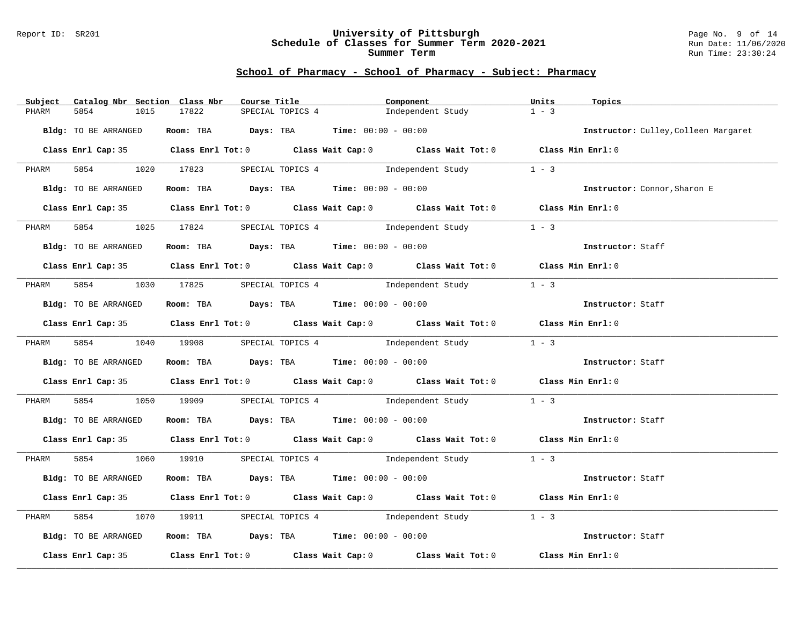#### Report ID: SR201 **University of Pittsburgh** Page No. 9 of 14 **Schedule of Classes for Summer Term 2020-2021** Run Date: 11/06/2020 **Summer Term** Run Time: 23:30:24

| Subject | Catalog Nbr Section Class Nbr | Course Title                                |                  | Component                                                                                  | Units<br>Topics                      |  |
|---------|-------------------------------|---------------------------------------------|------------------|--------------------------------------------------------------------------------------------|--------------------------------------|--|
| PHARM   | 5854<br>1015                  | 17822                                       | SPECIAL TOPICS 4 | Independent Study                                                                          | $1 - 3$                              |  |
|         | Bldg: TO BE ARRANGED          | Room: TBA $Days:$ TBA $Time: 00:00 - 00:00$ |                  |                                                                                            | Instructor: Culley, Colleen Margaret |  |
|         |                               |                                             |                  |                                                                                            |                                      |  |
|         |                               |                                             |                  | Class Enrl Cap: 35 Class Enrl Tot: 0 Class Wait Cap: 0 Class Wait Tot: 0 Class Min Enrl: 0 |                                      |  |
| PHARM   |                               |                                             |                  | 5854 1020 17823 SPECIAL TOPICS 4 Independent Study 1 - 3                                   |                                      |  |
|         | Bldg: TO BE ARRANGED          |                                             |                  | <b>Room:</b> TBA <b>Days:</b> TBA <b>Time:</b> 00:00 - 00:00                               | Instructor: Connor, Sharon E         |  |
|         |                               |                                             |                  | Class Enrl Cap: 35 Class Enrl Tot: 0 Class Wait Cap: 0 Class Wait Tot: 0 Class Min Enrl: 0 |                                      |  |
| PHARM   | 5854                          |                                             |                  | 1025 17824 SPECIAL TOPICS 4 Independent Study                                              | $1 - 3$                              |  |
|         | Bldg: TO BE ARRANGED          | Room: TBA $Days:$ TBA $Time: 00:00 - 00:00$ |                  |                                                                                            | Instructor: Staff                    |  |
|         |                               |                                             |                  | Class Enrl Cap: 35 Class Enrl Tot: 0 Class Wait Cap: 0 Class Wait Tot: 0 Class Min Enrl: 0 |                                      |  |
| PHARM   |                               |                                             |                  | 5854 1030 17825 SPECIAL TOPICS 4 Independent Study                                         | $1 - 3$                              |  |
|         | Bldg: TO BE ARRANGED          | Room: TBA $Days:$ TBA Time: $00:00 - 00:00$ |                  |                                                                                            | Instructor: Staff                    |  |
|         |                               |                                             |                  | Class Enrl Cap: 35 Class Enrl Tot: 0 Class Wait Cap: 0 Class Wait Tot: 0 Class Min Enrl: 0 |                                      |  |
| PHARM   |                               | 5854 1040 19908 SPECIAL TOPICS 4            |                  | Independent Study                                                                          | $1 - 3$                              |  |
|         | Bldg: TO BE ARRANGED          | Room: TBA  Days: TBA Time: $00:00 - 00:00$  |                  |                                                                                            | Instructor: Staff                    |  |
|         |                               |                                             |                  | Class Enrl Cap: 35 Class Enrl Tot: 0 Class Wait Cap: 0 Class Wait Tot: 0 Class Min Enrl: 0 |                                      |  |
| PHARM   |                               |                                             |                  | 5854 1050 19909 SPECIAL TOPICS 4 Independent Study 1 - 3                                   |                                      |  |
|         | Bldg: TO BE ARRANGED          | Room: TBA $Days:$ TBA $Time: 00:00 - 00:00$ |                  |                                                                                            | Instructor: Staff                    |  |
|         |                               |                                             |                  | Class Enrl Cap: 35 Class Enrl Tot: 0 Class Wait Cap: 0 Class Wait Tot: 0 Class Min Enrl: 0 |                                      |  |
|         |                               |                                             |                  | PHARM 5854 1060 19910 SPECIAL TOPICS 4 Independent Study 1 - 3                             |                                      |  |
|         | Bldg: TO BE ARRANGED          |                                             |                  | Room: TBA $Days:$ TBA $Time:$ $00:00 - 00:00$                                              | Instructor: Staff                    |  |
|         |                               |                                             |                  | Class Enrl Cap: 35 Class Enrl Tot: 0 Class Wait Cap: 0 Class Wait Tot: 0 Class Min Enrl: 0 |                                      |  |
| PHARM   | 5854                          |                                             |                  | 1070 19911 SPECIAL TOPICS 4 Independent Study                                              | $1 - 3$                              |  |
|         | Bldg: TO BE ARRANGED          | Room: TBA $Days: TBA$ Time: $00:00 - 00:00$ |                  |                                                                                            | Instructor: Staff                    |  |
|         |                               |                                             |                  | Class Enrl Cap: 35 Class Enrl Tot: 0 Class Wait Cap: 0 Class Wait Tot: 0 Class Min Enrl: 0 |                                      |  |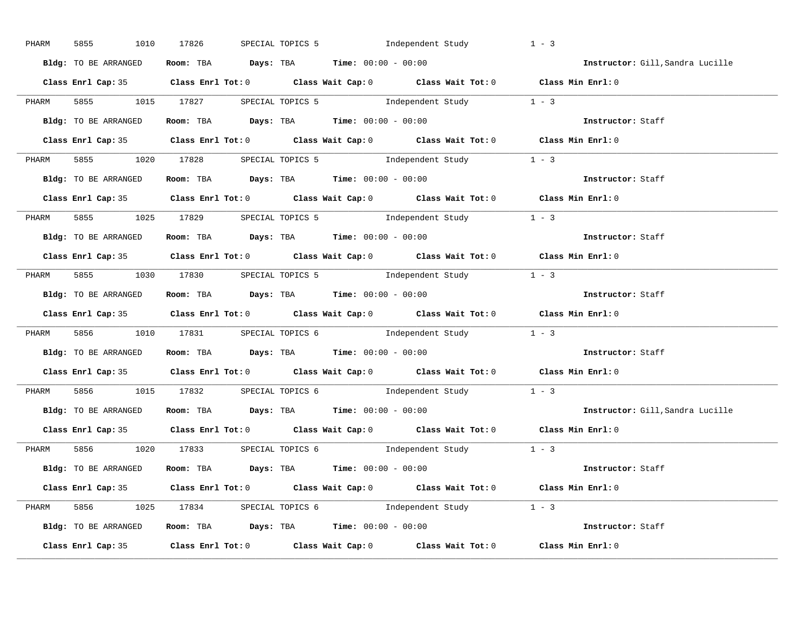| PHARM | 5855<br>1010         | 17826 | SPECIAL TOPICS 5 1ndependent Study                                                         | $1 - 3$                          |
|-------|----------------------|-------|--------------------------------------------------------------------------------------------|----------------------------------|
|       | Bldg: TO BE ARRANGED |       | Room: TBA $Days:$ TBA $Time: 00:00 - 00:00$                                                | Instructor: Gill, Sandra Lucille |
|       |                      |       | Class Enrl Cap: 35 Class Enrl Tot: 0 Class Wait Cap: 0 Class Wait Tot: 0 Class Min Enrl: 0 |                                  |
| PHARM |                      |       | 5855 1015 17827 SPECIAL TOPICS 5 1ndependent Study 1 - 3                                   |                                  |
|       | Bldg: TO BE ARRANGED |       | Room: TBA $Days:$ TBA $Time: 00:00 - 00:00$                                                | Instructor: Staff                |
|       |                      |       | Class Enrl Cap: 35 Class Enrl Tot: 0 Class Wait Cap: 0 Class Wait Tot: 0 Class Min Enrl: 0 |                                  |
|       |                      |       | PHARM 5855 1020 17828 SPECIAL TOPICS 5 Independent Study 1 - 3                             |                                  |
|       |                      |       | <b>Bldg:</b> TO BE ARRANGED <b>ROOM:</b> TBA <b>Days:</b> TBA <b>Time:</b> $00:00 - 00:00$ | Instructor: Staff                |
|       |                      |       | Class Enrl Cap: 35 Class Enrl Tot: 0 Class Wait Cap: 0 Class Wait Tot: 0 Class Min Enrl: 0 |                                  |
|       |                      |       | PHARM 5855 1025 17829 SPECIAL TOPICS 5 1ndependent Study 1 - 3                             |                                  |
|       | Bldg: TO BE ARRANGED |       | Room: TBA $\rule{1em}{0.15mm}$ Days: TBA $\rule{1.15mm}]{0.15mm}$ Time: $0.000 - 0.000$    | Instructor: Staff                |
|       |                      |       | Class Enrl Cap: 35 Class Enrl Tot: 0 Class Wait Cap: 0 Class Wait Tot: 0 Class Min Enrl: 0 |                                  |
|       |                      |       | PHARM 5855 1030 17830 SPECIAL TOPICS 5 Independent Study 1 - 3                             |                                  |
|       | Bldg: TO BE ARRANGED |       | Room: TBA $\rule{1em}{0.15mm}$ Days: TBA Time: $00:00 - 00:00$                             | Instructor: Staff                |
|       |                      |       |                                                                                            |                                  |
|       |                      |       | Class Enrl Cap: 35 Class Enrl Tot: 0 Class Wait Cap: 0 Class Wait Tot: 0 Class Min Enrl: 0 |                                  |
| PHARM |                      |       | 5856 1010 17831 SPECIAL TOPICS 6 Independent Study 1 - 3                                   |                                  |
|       |                      |       | <b>Bldg:</b> TO BE ARRANGED <b>Room:</b> TBA <b>Days:</b> TBA <b>Time:</b> $00:00 - 00:00$ | Instructor: Staff                |
|       |                      |       | Class Enrl Cap: 35 Class Enrl Tot: 0 Class Wait Cap: 0 Class Wait Tot: 0 Class Min Enrl: 0 |                                  |
| PHARM |                      |       | 5856 1015 17832 SPECIAL TOPICS 6 Independent Study 1 - 3                                   |                                  |
|       | Bldg: TO BE ARRANGED |       | Room: TBA $Days:$ TBA $Time: 00:00 - 00:00$                                                | Instructor: Gill, Sandra Lucille |
|       |                      |       | Class Enrl Cap: 35 Class Enrl Tot: 0 Class Wait Cap: 0 Class Wait Tot: 0 Class Min Enrl: 0 |                                  |
|       |                      |       | PHARM 5856 1020 17833 SPECIAL TOPICS 6 1ndependent Study 1 - 3                             |                                  |
|       | Bldg: TO BE ARRANGED |       | Room: TBA $Days: TBA$ Time: $00:00 - 00:00$                                                | Instructor: Staff                |
|       |                      |       | Class Enrl Cap: 35 Class Enrl Tot: 0 Class Wait Cap: 0 Class Wait Tot: 0 Class Min Enrl: 0 |                                  |
|       |                      |       | PHARM 5856 1025 17834 SPECIAL TOPICS 6 Independent Study 1 - 3                             |                                  |
|       |                      |       | Bldg: TO BE ARRANGED Room: TBA Days: TBA Time: 00:00 - 00:00                               | Instructor: Staff                |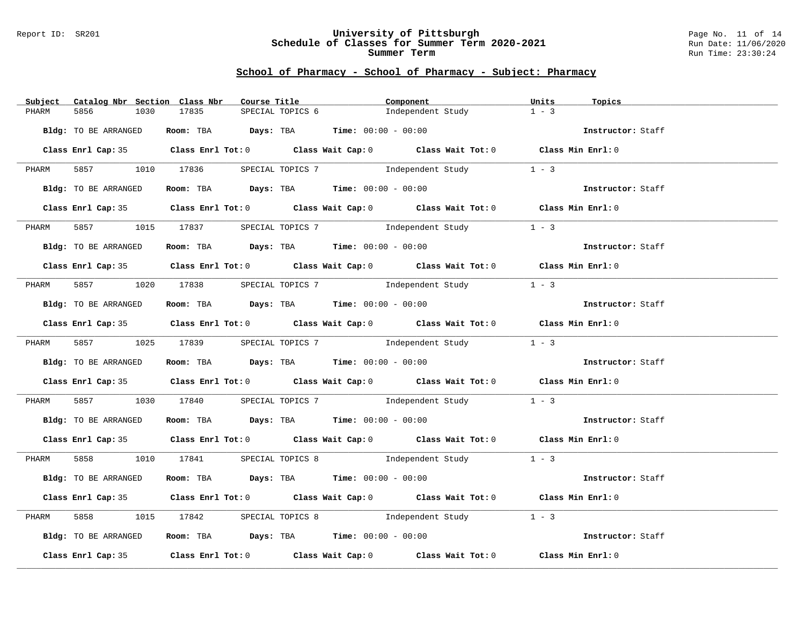#### Report ID: SR201 **University of Pittsburgh** Page No. 11 of 14 **Schedule of Classes for Summer Term 2020-2021** Run Date: 11/06/2020 **Summer Term** Run Time: 23:30:24

| Subject | Catalog Nbr Section Class Nbr | Course Title                                                                            |                  | Component                                                                                  | Units<br>Topics   |  |
|---------|-------------------------------|-----------------------------------------------------------------------------------------|------------------|--------------------------------------------------------------------------------------------|-------------------|--|
| PHARM   | 5856<br>1030                  | 17835                                                                                   | SPECIAL TOPICS 6 | Independent Study                                                                          | $1 - 3$           |  |
|         | Bldg: TO BE ARRANGED          | Room: TBA $Days:$ TBA $Time: 00:00 - 00:00$                                             |                  |                                                                                            | Instructor: Staff |  |
|         |                               |                                                                                         |                  | Class Enrl Cap: 35 Class Enrl Tot: 0 Class Wait Cap: 0 Class Wait Tot: 0 Class Min Enrl: 0 |                   |  |
| PHARM   |                               |                                                                                         |                  | 5857 1010 17836 SPECIAL TOPICS 7 1ndependent Study                                         | $1 - 3$           |  |
|         | Bldg: TO BE ARRANGED          |                                                                                         |                  | Room: TBA $Days$ : TBA $Time: 00:00 - 00:00$                                               | Instructor: Staff |  |
|         |                               |                                                                                         |                  | Class Enrl Cap: 35 Class Enrl Tot: 0 Class Wait Cap: 0 Class Wait Tot: 0 Class Min Enrl: 0 |                   |  |
| PHARM   |                               | 5857 1015 17837 SPECIAL TOPICS 7                                                        |                  | Independent Study                                                                          | $1 - 3$           |  |
|         | Bldg: TO BE ARRANGED          | Room: TBA $Days:$ TBA $Time: 00:00 - 00:00$                                             |                  |                                                                                            | Instructor: Staff |  |
|         |                               |                                                                                         |                  | Class Enrl Cap: 35 Class Enrl Tot: 0 Class Wait Cap: 0 Class Wait Tot: 0 Class Min Enrl: 0 |                   |  |
| PHARM   |                               | 5857 1020 17838 SPECIAL TOPICS 7 1ndependent Study                                      |                  |                                                                                            | $1 - 3$           |  |
|         | Bldg: TO BE ARRANGED          | Room: TBA $Days:$ TBA Time: $00:00 - 00:00$                                             |                  |                                                                                            | Instructor: Staff |  |
|         |                               |                                                                                         |                  | Class Enrl Cap: 35 Class Enrl Tot: 0 Class Wait Cap: 0 Class Wait Tot: 0 Class Min Enrl: 0 |                   |  |
|         |                               |                                                                                         |                  | PHARM 5857 1025 17839 SPECIAL TOPICS 7 Independent Study 1 - 3                             |                   |  |
|         | Bldg: TO BE ARRANGED          |                                                                                         |                  | <b>Room:</b> TBA $Days$ : TBA $Time: 00:00 - 00:00$                                        | Instructor: Staff |  |
|         |                               |                                                                                         |                  | Class Enrl Cap: 35 Class Enrl Tot: 0 Class Wait Cap: 0 Class Wait Tot: 0 Class Min Enrl: 0 |                   |  |
| PHARM   |                               |                                                                                         |                  | 5857 1030 17840 SPECIAL TOPICS 7 1ndependent Study 1 - 3                                   |                   |  |
|         |                               | Bldg: TO BE ARRANGED Room: TBA Days: TBA Time: 00:00 - 00:00                            |                  |                                                                                            | Instructor: Staff |  |
|         |                               |                                                                                         |                  | Class Enrl Cap: 35 Class Enrl Tot: 0 Class Wait Cap: 0 Class Wait Tot: 0 Class Min Enrl: 0 |                   |  |
|         |                               |                                                                                         |                  | PHARM 5858 1010 17841 SPECIAL TOPICS 8 Independent Study 1 - 3                             |                   |  |
|         | Bldg: TO BE ARRANGED          | Room: TBA $\rule{1em}{0.15mm}$ Days: TBA Time: $00:00 - 00:00$                          |                  |                                                                                            | Instructor: Staff |  |
|         |                               |                                                                                         |                  | Class Enrl Cap: 35 Class Enrl Tot: 0 Class Wait Cap: 0 Class Wait Tot: 0 Class Min Enrl: 0 |                   |  |
| PHARM   |                               |                                                                                         |                  | 1015 17842 SPECIAL TOPICS 8 1ndependent Study 1 - 3                                        |                   |  |
|         | Bldg: TO BE ARRANGED          | Room: TBA $\rule{1em}{0.15mm}$ Days: TBA $\rule{1.15mm}]{0.15mm}$ Time: $00:00 - 00:00$ |                  |                                                                                            | Instructor: Staff |  |
|         |                               |                                                                                         |                  | Class Enrl Cap: 35 Class Enrl Tot: 0 Class Wait Cap: 0 Class Wait Tot: 0 Class Min Enrl: 0 |                   |  |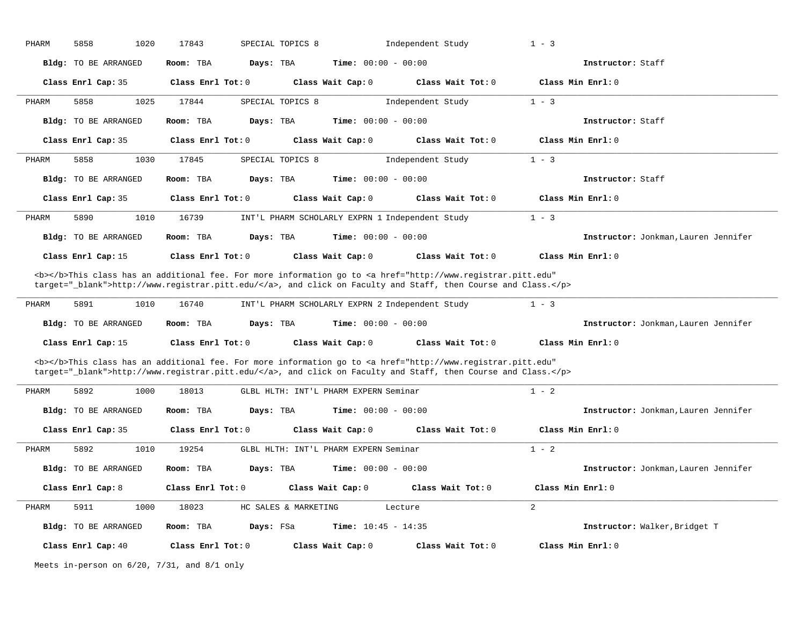| PHARM | 5858<br>1020                | 17843<br>SPECIAL TOPICS 8 |                                                                                                                                                                                                                                    | Independent Study | $1 - 3$                              |
|-------|-----------------------------|---------------------------|------------------------------------------------------------------------------------------------------------------------------------------------------------------------------------------------------------------------------------|-------------------|--------------------------------------|
|       | Bldg: TO BE ARRANGED        | Room: TBA<br>Days: TBA    | <b>Time:</b> $00:00 - 00:00$                                                                                                                                                                                                       |                   | Instructor: Staff                    |
|       | Class Enrl Cap: 35          | Class Enrl Tot: 0         | Class Wait Cap: 0                                                                                                                                                                                                                  | Class Wait Tot: 0 | Class Min Enrl: 0                    |
| PHARM | 5858<br>1025                | 17844<br>SPECIAL TOPICS 8 |                                                                                                                                                                                                                                    | Independent Study | $1 - 3$                              |
|       | <b>Bldg:</b> TO BE ARRANGED | Room: TBA<br>Days: TBA    | Time: $00:00 - 00:00$                                                                                                                                                                                                              |                   | Instructor: Staff                    |
|       | Class Enrl Cap: 35          | Class Enrl Tot: 0         | Class Wait Cap: 0                                                                                                                                                                                                                  | Class Wait Tot: 0 | Class Min Enrl: 0                    |
| PHARM | 5858<br>1030                | 17845<br>SPECIAL TOPICS 8 |                                                                                                                                                                                                                                    | Independent Study | $1 - 3$                              |
|       | <b>Bldg:</b> TO BE ARRANGED | Room: TBA<br>Days: TBA    | $Time: 00:00 - 00:00$                                                                                                                                                                                                              |                   | Instructor: Staff                    |
|       | Class Enrl Cap: 35          | Class Enrl Tot: 0         | Class Wait Cap: 0                                                                                                                                                                                                                  | Class Wait Tot: 0 | Class Min Enrl: 0                    |
| PHARM | 1010<br>5890                | 16739                     | INT'L PHARM SCHOLARLY EXPRN 1 Independent Study                                                                                                                                                                                    |                   | $1 - 3$                              |
|       | Bldg: TO BE ARRANGED        | Room: TBA<br>Days: TBA    | <b>Time:</b> $00:00 - 00:00$                                                                                                                                                                                                       |                   | Instructor: Jonkman, Lauren Jennifer |
|       | Class Enrl Cap: 15          | Class Enrl Tot: 0         | Class Wait Cap: 0                                                                                                                                                                                                                  | Class Wait Tot: 0 | Class Min Enrl: 0                    |
|       |                             |                           | <b></b> This class has an additional fee. For more information go to <a <br="" href="http://www.registrar.pitt.edu">target="_blank"&gt;http://www.registrar.pitt.edu/</a> , and click on Faculty and Staff, then Course and Class. |                   |                                      |
| PHARM | 5891<br>1010                | 16740                     | INT'L PHARM SCHOLARLY EXPRN 2 Independent Study                                                                                                                                                                                    |                   | $1 - 3$                              |
|       | <b>Bldg:</b> TO BE ARRANGED | Room: TBA<br>Days: TBA    | <b>Time:</b> $00:00 - 00:00$                                                                                                                                                                                                       |                   | Instructor: Jonkman, Lauren Jennifer |
|       | Class Enrl Cap: 15          | Class Enrl Tot: 0         | Class Wait Cap: 0                                                                                                                                                                                                                  | Class Wait Tot: 0 | Class Min Enrl: 0                    |
|       |                             |                           | <b></b> This class has an additional fee. For more information go to <a <br="" href="http://www.registrar.pitt.edu">target="_blank"&gt;http://www.registrar.pitt.edu/</a> , and click on Faculty and Staff, then Course and Class. |                   |                                      |
| PHARM | 5892<br>1000                | 18013                     | GLBL HLTH: INT'L PHARM EXPERN Seminar                                                                                                                                                                                              |                   | $1 - 2$                              |
|       | <b>Bldg:</b> TO BE ARRANGED | Room: TBA<br>Days: TBA    | <b>Time:</b> $00:00 - 00:00$                                                                                                                                                                                                       |                   | Instructor: Jonkman, Lauren Jennifer |
|       | Class Enrl Cap: 35          | Class Enrl Tot: 0         | Class Wait Cap: 0                                                                                                                                                                                                                  | Class Wait Tot: 0 | Class Min Enrl: 0                    |
| PHARM | 5892<br>1010                | 19254                     | GLBL HLTH: INT'L PHARM EXPERN Seminar                                                                                                                                                                                              |                   | $1 - 2$                              |
|       | Bldg: TO BE ARRANGED        | Room: TBA<br>Days: TBA    | <b>Time:</b> $00:00 - 00:00$                                                                                                                                                                                                       |                   | Instructor: Jonkman, Lauren Jennifer |
|       | Class Enrl Cap: 8           | Class Enrl Tot: 0         | Class Wait Cap: 0                                                                                                                                                                                                                  | Class Wait Tot: 0 | Class Min Enrl: 0                    |
| PHARM | 5911<br>1000                | 18023                     | HC SALES & MARKETING<br>Lecture                                                                                                                                                                                                    |                   | $\overline{2}$                       |
|       | <b>Bldg:</b> TO BE ARRANGED | Room: TBA<br>Days: FSa    | Time: $10:45 - 14:35$                                                                                                                                                                                                              |                   | Instructor: Walker, Bridget T        |
|       | Class Enrl Cap: 40          | Class Enrl Tot: 0         | Class Wait Cap: 0                                                                                                                                                                                                                  | Class Wait Tot: 0 | Class Min Enrl: 0                    |

Meets in-person on 6/20, 7/31, and 8/1 only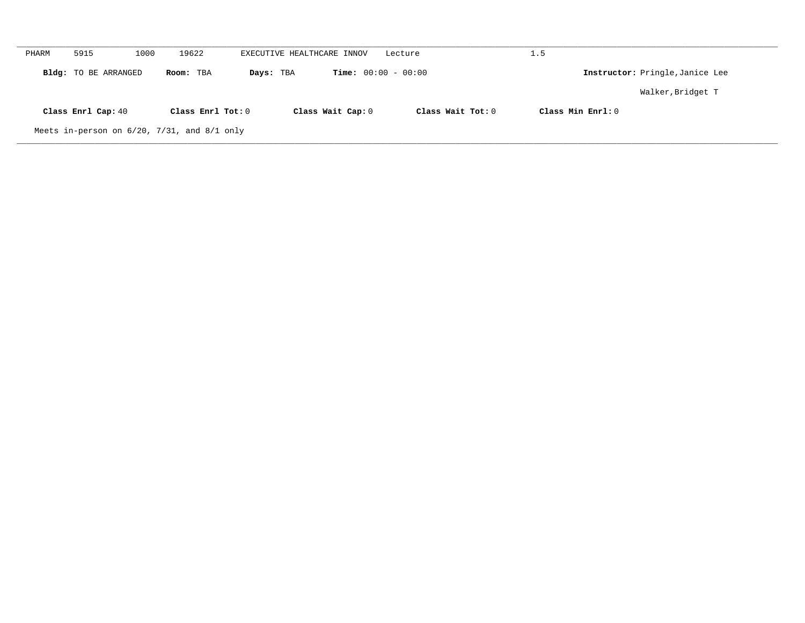| PHARM                                               | 5915               | 1000      | 19622                                     | EXECUTIVE HEALTHCARE INNOV |                                 | Lecture           | 1.5                 |                   |  |  |
|-----------------------------------------------------|--------------------|-----------|-------------------------------------------|----------------------------|---------------------------------|-------------------|---------------------|-------------------|--|--|
| Bldg: TO BE ARRANGED                                |                    | Room: TBA | <b>Time:</b> $00:00 - 00:00$<br>Days: TBA |                            | Instructor: Pringle, Janice Lee |                   |                     |                   |  |  |
|                                                     |                    |           |                                           |                            |                                 |                   |                     | Walker, Bridget T |  |  |
|                                                     | Class Enrl Cap: 40 |           | Class Enrl Tot: 0                         |                            | Class Wait Cap: 0               | Class Wait Tot: 0 | Class Min $Enrl: 0$ |                   |  |  |
| Meets in-person on $6/20$ , $7/31$ , and $8/1$ only |                    |           |                                           |                            |                                 |                   |                     |                   |  |  |